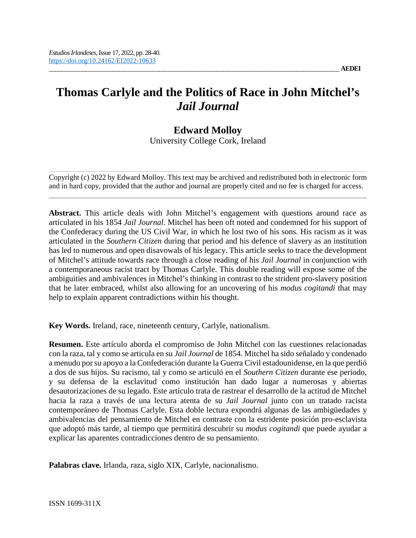# **Thomas Carlyle and the Politics of Race in John Mitchel's**  *Jail Journal*

# **Edward Molloy**

University College Cork, Ireland

Copyright (c) 2022 by Edward Molloy. This text may be archived and redistributed both in electronic form and in hard copy, provided that the author and journal are properly cited and no fee is charged for access.

**Abstract.** This article deals with John Mitchel's engagement with questions around race as articulated in his 1854 *Jail Journal*. Mitchel has been oft noted and condemned for his support of the Confederacy during the US Civil War, in which he lost two of his sons. His racism as it was articulated in the *Southern Citizen* during that period and his defence of slavery as an institution has led to numerous and open disavowals of his legacy. This article seeks to trace the development of Mitchel's attitude towards race through a close reading of his *Jail Journal* in conjunction with a contemporaneous racist tract by Thomas Carlyle. This double reading will expose some of the ambiguities and ambivalences in Mitchel's thinking in contrast to the strident pro-slavery position that he later embraced, whilst also allowing for an uncovering of his *modus cogitandi* that may help to explain apparent contradictions within his thought.

**Key Words.** Ireland, race, nineteenth century, Carlyle, nationalism.

**Resumen.** Este artículo aborda el compromiso de John Mitchel con las cuestiones relacionadas con la raza, tal y como se articula en su *Jail Journal* de 1854. Mitchel ha sido señalado y condenado a menudo por su apoyo a la Confederación durante la Guerra Civil estadounidense, en la que perdió a dos de sus hijos. Su racismo, tal y como se articuló en el *Southern Citizen* durante ese periodo, y su defensa de la esclavitud como institución han dado lugar a numerosas y abiertas desautorizaciones de su legado. Este artículo trata de rastrear el desarrollo de la actitud de Mitchel hacia la raza a través de una lectura atenta de su *Jail Journal* junto con un tratado racista contemporáneo de Thomas Carlyle. Esta doble lectura expondrá algunas de las ambigüedades y ambivalencias del pensamiento de Mitchel en contraste con la estridente posición pro-esclavista que adoptó más tarde, al tiempo que permitirá descubrir su *modus cogitandi* que puede ayudar a explicar las aparentes contradicciones dentro de su pensamiento.

**Palabras clave.** Irlanda, raza, siglo XIX, Carlyle, nacionalismo.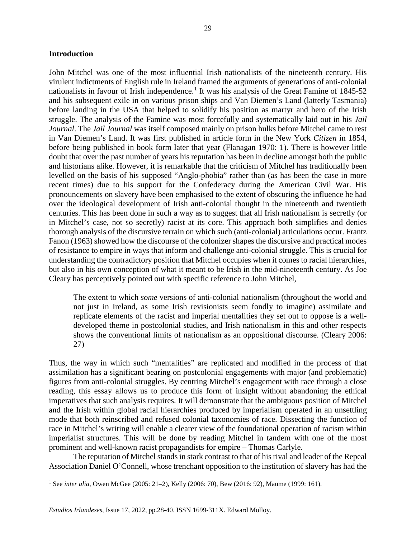# **Introduction**

l

John Mitchel was one of the most influential Irish nationalists of the nineteenth century. His virulent indictments of English rule in Ireland framed the arguments of generations of anti-colonial nationalists in favour of Irish independence.<sup>[1](#page-1-0)</sup> It was his analysis of the Great Famine of 1845-52 and his subsequent exile in on various prison ships and Van Diemen's Land (latterly Tasmania) before landing in the USA that helped to solidify his position as martyr and hero of the Irish struggle. The analysis of the Famine was most forcefully and systematically laid out in his *Jail Journal*. The *Jail Journal* was itself composed mainly on prison hulks before Mitchel came to rest in Van Diemen's Land. It was first published in article form in the New York *Citizen* in 1854, before being published in book form later that year (Flanagan 1970: 1). There is however little doubt that over the past number of years his reputation has been in decline amongst both the public and historians alike. However, it is remarkable that the criticism of Mitchel has traditionally been levelled on the basis of his supposed "Anglo-phobia" rather than (as has been the case in more recent times) due to his support for the Confederacy during the American Civil War. His pronouncements on slavery have been emphasised to the extent of obscuring the influence he had over the ideological development of Irish anti-colonial thought in the nineteenth and twentieth centuries. This has been done in such a way as to suggest that all Irish nationalism is secretly (or in Mitchel's case, not so secretly) racist at its core. This approach both simplifies and denies thorough analysis of the discursive terrain on which such (anti-colonial) articulations occur. Frantz Fanon (1963) showed how the discourse of the colonizer shapes the discursive and practical modes of resistance to empire in ways that inform and challenge anti-colonial struggle. This is crucial for understanding the contradictory position that Mitchel occupies when it comes to racial hierarchies, but also in his own conception of what it meant to be Irish in the mid-nineteenth century. As Joe Cleary has perceptively pointed out with specific reference to John Mitchel,

The extent to which *some* versions of anti-colonial nationalism (throughout the world and not just in Ireland, as some Irish revisionists seem fondly to imagine) assimilate and replicate elements of the racist and imperial mentalities they set out to oppose is a welldeveloped theme in postcolonial studies, and Irish nationalism in this and other respects shows the conventional limits of nationalism as an oppositional discourse. (Cleary 2006: 27)

Thus, the way in which such "mentalities" are replicated and modified in the process of that assimilation has a significant bearing on postcolonial engagements with major (and problematic) figures from anti-colonial struggles. By centring Mitchel's engagement with race through a close reading, this essay allows us to produce this form of insight without abandoning the ethical imperatives that such analysis requires. It will demonstrate that the ambiguous position of Mitchel and the Irish within global racial hierarchies produced by imperialism operated in an unsettling mode that both reinscribed and refused colonial taxonomies of race. Dissecting the function of race in Mitchel's writing will enable a clearer view of the foundational operation of racism within imperialist structures. This will be done by reading Mitchel in tandem with one of the most prominent and well-known racist propagandists for empire – Thomas Carlyle.

The reputation of Mitchel stands in stark contrast to that of his rival and leader of the Repeal Association Daniel O'Connell, whose trenchant opposition to the institution of slavery has had the

<span id="page-1-0"></span><sup>1</sup> See *inter alia*, Owen McGee (2005: 21–2), Kelly (2006: 70), Bew (2016: 92), Maume (1999: 161).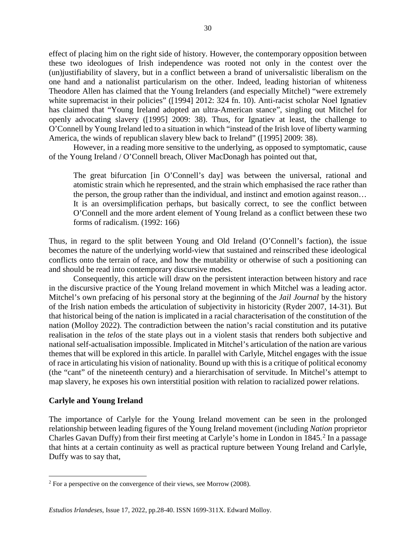effect of placing him on the right side of history. However, the contemporary opposition between these two ideologues of Irish independence was rooted not only in the contest over the (un)justifiability of slavery, but in a conflict between a brand of universalistic liberalism on the one hand and a nationalist particularism on the other. Indeed, leading historian of whiteness Theodore Allen has claimed that the Young Irelanders (and especially Mitchel) "were extremely white supremacist in their policies" ([1994] 2012: 324 fn. 10). Anti-racist scholar Noel Ignatiev has claimed that "Young Ireland adopted an ultra-American stance", singling out Mitchel for openly advocating slavery ([1995] 2009: 38). Thus, for Ignatiev at least, the challenge to O'Connell by Young Ireland led to a situation in which "instead of the Irish love of liberty warming America, the winds of republican slavery blew back to Ireland" ([1995] 2009: 38).

However, in a reading more sensitive to the underlying, as opposed to symptomatic, cause of the Young Ireland / O'Connell breach, Oliver MacDonagh has pointed out that,

The great bifurcation [in O'Connell's day] was between the universal, rational and atomistic strain which he represented, and the strain which emphasised the race rather than the person, the group rather than the individual, and instinct and emotion against reason… It is an oversimplification perhaps, but basically correct, to see the conflict between O'Connell and the more ardent element of Young Ireland as a conflict between these two forms of radicalism. (1992: 166)

Thus, in regard to the split between Young and Old Ireland (O'Connell's faction), the issue becomes the nature of the underlying world-view that sustained and reinscribed these ideological conflicts onto the terrain of race, and how the mutability or otherwise of such a positioning can and should be read into contemporary discursive modes.

Consequently, this article will draw on the persistent interaction between history and race in the discursive practice of the Young Ireland movement in which Mitchel was a leading actor. Mitchel's own prefacing of his personal story at the beginning of the *Jail Journal* by the history of the Irish nation embeds the articulation of subjectivity in historicity (Ryder 2007, 14-31). But that historical being of the nation is implicated in a racial characterisation of the constitution of the nation (Molloy 2022). The contradiction between the nation's racial constitution and its putative realisation in the *telos* of the state plays out in a violent stasis that renders both subjective and national self-actualisation impossible. Implicated in Mitchel's articulation of the nation are various themes that will be explored in this article. In parallel with Carlyle, Mitchel engages with the issue of race in articulating his vision of nationality. Bound up with this is a critique of political economy (the "cant" of the nineteenth century) and a hierarchisation of servitude. In Mitchel's attempt to map slavery, he exposes his own interstitial position with relation to racialized power relations.

# **Carlyle and Young Ireland**

l

The importance of Carlyle for the Young Ireland movement can be seen in the prolonged relationship between leading figures of the Young Ireland movement (including *Nation* proprietor Charles Gavan Duffy) from their first meeting at Carlyle's home in London in 1845.<sup>[2](#page-2-0)</sup> In a passage that hints at a certain continuity as well as practical rupture between Young Ireland and Carlyle, Duffy was to say that,

<span id="page-2-0"></span> $2$  For a perspective on the convergence of their views, see Morrow (2008).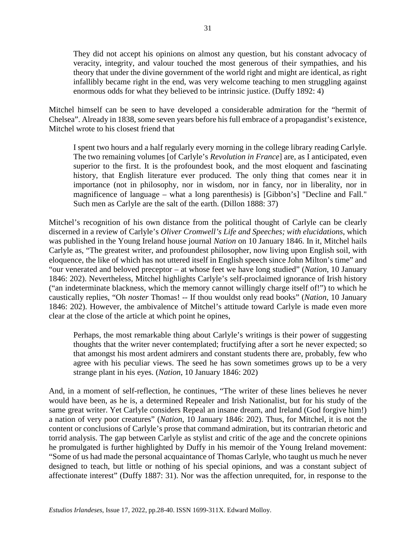They did not accept his opinions on almost any question, but his constant advocacy of veracity, integrity, and valour touched the most generous of their sympathies, and his theory that under the divine government of the world right and might are identical, as right infallibly became right in the end, was very welcome teaching to men struggling against enormous odds for what they believed to be intrinsic justice. (Duffy 1892: 4)

Mitchel himself can be seen to have developed a considerable admiration for the "hermit of Chelsea". Already in 1838, some seven years before his full embrace of a propagandist's existence, Mitchel wrote to his closest friend that

I spent two hours and a half regularly every morning in the college library reading Carlyle. The two remaining volumes [of Carlyle's *Revolution in France*] are, as I anticipated, even superior to the first. It is the profoundest book, and the most eloquent and fascinating history, that English literature ever produced. The only thing that comes near it in importance (not in philosophy, nor in wisdom, nor in fancy, nor in liberality, nor in magnificence of language – what a long parenthesis) is [Gibbon's] "Decline and Fall." Such men as Carlyle are the salt of the earth. (Dillon 1888: 37)

Mitchel's recognition of his own distance from the political thought of Carlyle can be clearly discerned in a review of Carlyle's *Oliver Cromwell's Life and Speeches; with elucidations*, which was published in the Young Ireland house journal *Nation* on 10 January 1846. In it, Mitchel hails Carlyle as, "The greatest writer, and profoundest philosopher, now living upon English soil, with eloquence, the like of which has not uttered itself in English speech since John Milton's time" and "our venerated and beloved preceptor – at whose feet we have long studied" (*Nation*, 10 January 1846: 202). Nevertheless, Mitchel highlights Carlyle's self-proclaimed ignorance of Irish history ("an indeterminate blackness, which the memory cannot willingly charge itself of!") to which he caustically replies, "Oh *noster* Thomas! -- If thou wouldst only read books" (*Nation*, 10 January 1846: 202). However, the ambivalence of Mitchel's attitude toward Carlyle is made even more clear at the close of the article at which point he opines,

Perhaps, the most remarkable thing about Carlyle's writings is their power of suggesting thoughts that the writer never contemplated; fructifying after a sort he never expected; so that amongst his most ardent admirers and constant students there are, probably, few who agree with his peculiar views. The seed he has sown sometimes grows up to be a very strange plant in his eyes. (*Nation*, 10 January 1846: 202)

And, in a moment of self-reflection, he continues, "The writer of these lines believes he never would have been, as he is, a determined Repealer and Irish Nationalist, but for his study of the same great writer. Yet Carlyle considers Repeal an insane dream, and Ireland (God forgive him!) a nation of very poor creatures" (*Nation*, 10 January 1846: 202). Thus, for Mitchel, it is not the content or conclusions of Carlyle's prose that command admiration, but its contrarian rhetoric and torrid analysis. The gap between Carlyle as stylist and critic of the age and the concrete opinions he promulgated is further highlighted by Duffy in his memoir of the Young Ireland movement: "Some of us had made the personal acquaintance of Thomas Carlyle, who taught us much he never designed to teach, but little or nothing of his special opinions, and was a constant subject of affectionate interest" (Duffy 1887: 31). Nor was the affection unrequited, for, in response to the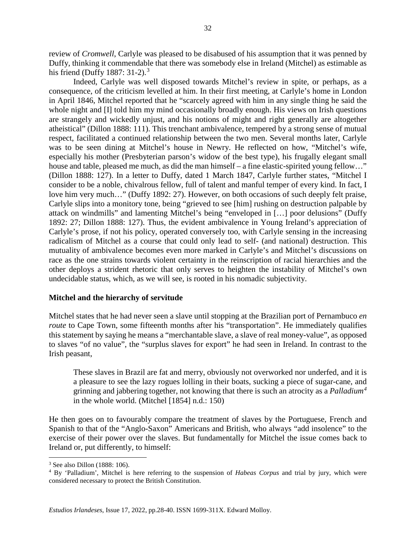review of *Cromwell*, Carlyle was pleased to be disabused of his assumption that it was penned by Duffy, thinking it commendable that there was somebody else in Ireland (Mitchel) as estimable as his friend (Duffy 1887:  $31-2$  $31-2$ ).<sup>3</sup>

Indeed, Carlyle was well disposed towards Mitchel's review in spite, or perhaps, as a consequence, of the criticism levelled at him. In their first meeting, at Carlyle's home in London in April 1846, Mitchel reported that he "scarcely agreed with him in any single thing he said the whole night and [I] told him my mind occasionally broadly enough. His views on Irish questions are strangely and wickedly unjust, and his notions of might and right generally are altogether atheistical" (Dillon 1888: 111). This trenchant ambivalence, tempered by a strong sense of mutual respect, facilitated a continued relationship between the two men. Several months later, Carlyle was to be seen dining at Mitchel's house in Newry. He reflected on how, "Mitchel's wife, especially his mother (Presbyterian parson's widow of the best type), his frugally elegant small house and table, pleased me much, as did the man himself – a fine elastic-spirited young fellow..." (Dillon 1888: 127). In a letter to Duffy, dated 1 March 1847, Carlyle further states, "Mitchel I consider to be a noble, chivalrous fellow, full of talent and manful temper of every kind. In fact, I love him very much…" (Duffy 1892: 27). However, on both occasions of such deeply felt praise, Carlyle slips into a monitory tone, being "grieved to see [him] rushing on destruction palpable by attack on windmills" and lamenting Mitchel's being "enveloped in […] poor delusions" (Duffy 1892: 27; Dillon 1888: 127). Thus, the evident ambivalence in Young Ireland's appreciation of Carlyle's prose, if not his policy, operated conversely too, with Carlyle sensing in the increasing radicalism of Mitchel as a course that could only lead to self- (and national) destruction. This mutuality of ambivalence becomes even more marked in Carlyle's and Mitchel's discussions on race as the one strains towards violent certainty in the reinscription of racial hierarchies and the other deploys a strident rhetoric that only serves to heighten the instability of Mitchel's own undecidable status, which, as we will see, is rooted in his nomadic subjectivity.

# **Mitchel and the hierarchy of servitude**

Mitchel states that he had never seen a slave until stopping at the Brazilian port of Pernambuco *en route* to Cape Town, some fifteenth months after his "transportation". He immediately qualifies this statement by saying he means a "merchantable slave, a slave of real money-value", as opposed to slaves "of no value", the "surplus slaves for export" he had seen in Ireland. In contrast to the Irish peasant,

These slaves in Brazil are fat and merry, obviously not overworked nor underfed, and it is a pleasure to see the lazy rogues lolling in their boats, sucking a piece of sugar-cane, and grinning and jabbering together, not knowing that there is such an atrocity as a *Palladium[4](#page-4-1)* in the whole world. (Mitchel [1854] n.d.: 150)

He then goes on to favourably compare the treatment of slaves by the Portuguese, French and Spanish to that of the "Anglo-Saxon" Americans and British, who always "add insolence" to the exercise of their power over the slaves. But fundamentally for Mitchel the issue comes back to Ireland or, put differently, to himself:

 $\overline{a}$ 

<span id="page-4-0"></span><sup>3</sup> See also Dillon (1888: 106).

<span id="page-4-1"></span><sup>4</sup> By 'Palladium', Mitchel is here referring to the suspension of *Habeas Corpus* and trial by jury, which were considered necessary to protect the British Constitution.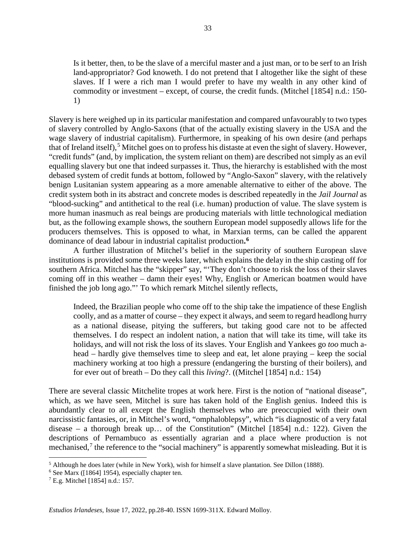Is it better, then, to be the slave of a merciful master and a just man, or to be serf to an Irish land-appropriator? God knoweth. I do not pretend that I altogether like the sight of these slaves. If I were a rich man I would prefer to have my wealth in any other kind of commodity or investment – except, of course, the credit funds. (Mitchel [1854] n.d.: 150- 1)

Slavery is here weighed up in its particular manifestation and compared unfavourably to two types of slavery controlled by Anglo-Saxons (that of the actually existing slavery in the USA and the wage slavery of industrial capitalism). Furthermore, in speaking of his own desire (and perhaps that of Ireland itself),<sup>[5](#page-5-0)</sup> Mitchel goes on to profess his distaste at even the sight of slavery. However, "credit funds" (and, by implication, the system reliant on them) are described not simply as an evil equalling slavery but one that indeed surpasses it. Thus, the hierarchy is established with the most debased system of credit funds at bottom, followed by "Anglo-Saxon" slavery, with the relatively benign Lusitanian system appearing as a more amenable alternative to either of the above. The credit system both in its abstract and concrete modes is described repeatedly in the *Jail Journal* as "blood-sucking" and antithetical to the real (i.e. human) production of value. The slave system is more human inasmuch as real beings are producing materials with little technological mediation but, as the following example shows, the southern European model supposedly allows life for the producers themselves. This is opposed to what, in Marxian terms, can be called the apparent dominance of dead labour in industrial capitalist production**. [6](#page-5-1)**

A further illustration of Mitchel's belief in the superiority of southern European slave institutions is provided some three weeks later, which explains the delay in the ship casting off for southern Africa. Mitchel has the "skipper" say, "'They don't choose to risk the loss of their slaves coming off in this weather – damn their eyes! Why, English or American boatmen would have finished the job long ago."' To which remark Mitchel silently reflects,

Indeed, the Brazilian people who come off to the ship take the impatience of these English coolly, and as a matter of course – they expect it always, and seem to regard headlong hurry as a national disease, pitying the sufferers, but taking good care not to be affected themselves. I do respect an indolent nation, a nation that will take its time, will take its holidays, and will not risk the loss of its slaves. Your English and Yankees go *too* much ahead – hardly give themselves time to sleep and eat, let alone praying – keep the social machinery working at too high a pressure (endangering the bursting of their boilers), and for ever out of breath – Do they call this *living*?. ((Mitchel [1854] n.d.: 154)

There are several classic Mitchelite tropes at work here. First is the notion of "national disease", which, as we have seen, Mitchel is sure has taken hold of the English genius. Indeed this is abundantly clear to all except the English themselves who are preoccupied with their own narcissistic fantasies, or, in Mitchel's word, "omphaloblepsy", which "is diagnostic of a very fatal disease – a thorough break up… of the Constitution" (Mitchel [1854] n.d.: 122). Given the descriptions of Pernambuco as essentially agrarian and a place where production is not mechanised,<sup>[7](#page-5-2)</sup> the reference to the "social machinery" is apparently somewhat misleading. But it is

 $\overline{a}$ 

<span id="page-5-0"></span><sup>5</sup> Although he does later (while in New York), wish for himself a slave plantation. See Dillon (1888).

<span id="page-5-1"></span> $6$  See Marx ([1864] 1954), especially chapter ten.

<span id="page-5-2"></span><sup>7</sup> E.g. Mitchel [1854] n.d.: 157.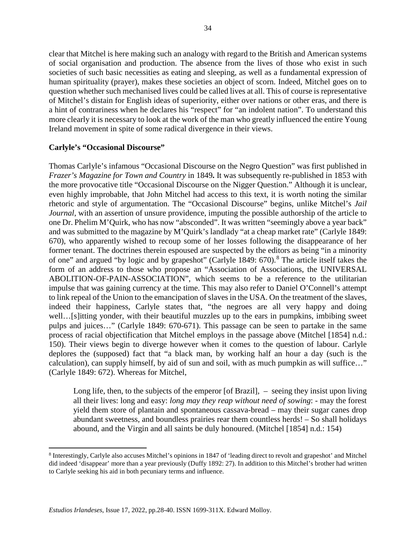clear that Mitchel is here making such an analogy with regard to the British and American systems of social organisation and production. The absence from the lives of those who exist in such societies of such basic necessities as eating and sleeping, as well as a fundamental expression of human spirituality (prayer), makes these societies an object of scorn. Indeed, Mitchel goes on to question whether such mechanised lives could be called lives at all. This of course is representative of Mitchel's distain for English ideas of superiority, either over nations or other eras, and there is a hint of contrariness when he declares his "respect" for "an indolent nation". To understand this more clearly it is necessary to look at the work of the man who greatly influenced the entire Young Ireland movement in spite of some radical divergence in their views.

# **Carlyle's "Occasional Discourse"**

 $\overline{a}$ 

Thomas Carlyle's infamous "Occasional Discourse on the Negro Question" was first published in *Frazer's Magazine for Town and Country* in 1849**.** It was subsequently re-published in 1853 with the more provocative title "Occasional Discourse on the Nigger Question." Although it is unclear, even highly improbable, that John Mitchel had access to this text, it is worth noting the similar rhetoric and style of argumentation. The "Occasional Discourse" begins, unlike Mitchel's *Jail Journal*, with an assertion of unsure providence, imputing the possible authorship of the article to one Dr. Phelim M'Quirk, who has now "absconded". It was written "seemingly above a year back" and was submitted to the magazine by M'Quirk's landlady "at a cheap market rate" (Carlyle 1849: 670), who apparently wished to recoup some of her losses following the disappearance of her former tenant. The doctrines therein espoused are suspected by the editors as being "in a minority of one" and argued "by logic and by grapeshot" (Carlyle 1[8](#page-6-0)49: 670).<sup>8</sup> The article itself takes the form of an address to those who propose an "Association of Associations, the UNIVERSAL ABOLITION-OF-PAIN-ASSOCIATION", which seems to be a reference to the utilitarian impulse that was gaining currency at the time. This may also refer to Daniel O'Connell's attempt to link repeal of the Union to the emancipation of slaves in the USA. On the treatment of the slaves, indeed their happiness, Carlyle states that, "the negroes are all very happy and doing well…[s]itting yonder, with their beautiful muzzles up to the ears in pumpkins, imbibing sweet pulps and juices…" (Carlyle 1849: 670-671). This passage can be seen to partake in the same process of racial objectification that Mitchel employs in the passage above (Mitchel [1854] n.d.: 150). Their views begin to diverge however when it comes to the question of labour. Carlyle deplores the (supposed) fact that "a black man, by working half an hour a day (such is the calculation), can supply himself, by aid of sun and soil, with as much pumpkin as will suffice…" (Carlyle 1849: 672). Whereas for Mitchel,

Long life, then, to the subjects of the emperor [of Brazil],  $-$  seeing they insist upon living all their lives: long and easy: *long may they reap without need of sowing*: - may the forest yield them store of plantain and spontaneous cassava-bread – may their sugar canes drop abundant sweetness, and boundless prairies rear them countless herds! – So shall holidays abound, and the Virgin and all saints be duly honoured. (Mitchel [1854] n.d.: 154)

<span id="page-6-0"></span><sup>8</sup> Interestingly, Carlyle also accuses Mitchel's opinions in 1847 of 'leading direct to revolt and grapeshot' and Mitchel did indeed 'disappear' more than a year previously (Duffy 1892: 27). In addition to this Mitchel's brother had written to Carlyle seeking his aid in both pecuniary terms and influence.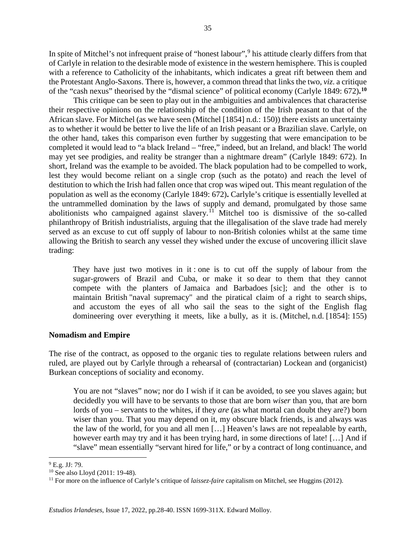In spite of Mitchel's not infrequent praise of "honest labour",[9](#page-7-0) his attitude clearly differs from that of Carlyle in relation to the desirable mode of existence in the western hemisphere. This is coupled with a reference to Catholicity of the inhabitants, which indicates a great rift between them and the Protestant Anglo-Saxons. There is, however, a common thread that links the two, *viz*. a critique of the "cash nexus" theorised by the "dismal science" of political economy (Carlyle 1849: 672)**. [10](#page-7-1)**

This critique can be seen to play out in the ambiguities and ambivalences that characterise their respective opinions on the relationship of the condition of the Irish peasant to that of the African slave. For Mitchel (as we have seen (Mitchel [1854] n.d.: 150)) there exists an uncertainty as to whether it would be better to live the life of an Irish peasant or a Brazilian slave. Carlyle, on the other hand, takes this comparison even further by suggesting that were emancipation to be completed it would lead to "a black Ireland – "free," indeed, but an Ireland, and black! The world may yet see prodigies, and reality be stranger than a nightmare dream" (Carlyle 1849: 672). In short, Ireland was the example to be avoided. The black population had to be compelled to work, lest they would become reliant on a single crop (such as the potato) and reach the level of destitution to which the Irish had fallen once that crop was wiped out. This meant regulation of the population as well as the economy (Carlyle 1849: 672)**.** Carlyle's critique is essentially levelled at the untrammelled domination by the laws of supply and demand, promulgated by those same abolitionists who campaigned against slavery.[11](#page-7-2) Mitchel too is dismissive of the so-called philanthropy of British industrialists, arguing that the illegalisation of the slave trade had merely served as an excuse to cut off supply of labour to non-British colonies whilst at the same time allowing the British to search any vessel they wished under the excuse of uncovering illicit slave trading:

They have just two motives in it : one is to cut off the supply of labour from the sugar-growers of Brazil and Cuba, or make it so dear to them that they cannot compete with the planters of Jamaica and Barbadoes [sic]; and the other is to maintain British "naval supremacy" and the piratical claim of a right to search ships, and accustom the eyes of all who sail the seas to the sight of the English flag domineering over everything it meets, like a bully, as it is. (Mitchel, n.d. [1854]: 155)

# **Nomadism and Empire**

The rise of the contract, as opposed to the organic ties to regulate relations between rulers and ruled, are played out by Carlyle through a rehearsal of (contractarian) Lockean and (organicist) Burkean conceptions of sociality and economy.

You are not "slaves" now; nor do I wish if it can be avoided, to see you slaves again; but decidedly you will have to be servants to those that are born *wiser* than you, that are born lords of you – servants to the whites, if they *are* (as what mortal can doubt they are?) born wiser than you. That you may depend on it, my obscure black friends, is and always was the law of the world, for you and all men […] Heaven's laws are not repealable by earth, however earth may try and it has been trying hard, in some directions of late! [...] And if "slave" mean essentially "servant hired for life," or by a contract of long continuance, and

 $\overline{a}$ 

<span id="page-7-0"></span> $9$  E.g. JJ: 79.

<span id="page-7-1"></span><sup>10</sup> See also Lloyd (2011: 19-48).

<span id="page-7-2"></span><sup>&</sup>lt;sup>11</sup> For more on the influence of Carlyle's critique of *laissez-faire* capitalism on Mitchel, see Huggins (2012).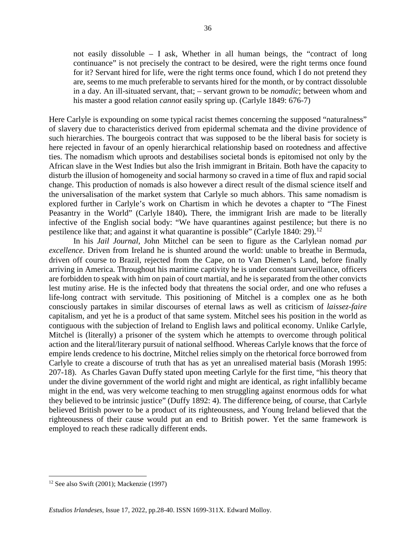not easily dissoluble – I ask, Whether in all human beings, the "contract of long continuance" is not precisely the contract to be desired, were the right terms once found for it? Servant hired for life, were the right terms once found, which I do not pretend they are, seems to me much preferable to servants hired for the month, or by contract dissoluble in a day. An ill-situated servant, that; – servant grown to be *nomadic*; between whom and his master a good relation *cannot* easily spring up. (Carlyle 1849: 676-7)

Here Carlyle is expounding on some typical racist themes concerning the supposed "naturalness" of slavery due to characteristics derived from epidermal schemata and the divine providence of such hierarchies. The bourgeois contract that was supposed to be the liberal basis for society is here rejected in favour of an openly hierarchical relationship based on rootedness and affective ties. The nomadism which uproots and destabilises societal bonds is epitomised not only by the African slave in the West Indies but also the Irish immigrant in Britain. Both have the capacity to disturb the illusion of homogeneity and social harmony so craved in a time of flux and rapid social change. This production of nomads is also however a direct result of the dismal science itself and the universalisation of the market system that Carlyle so much abhors. This same nomadism is explored further in Carlyle's work on Chartism in which he devotes a chapter to "The Finest Peasantry in the World" (Carlyle 1840)**.** There, the immigrant Irish are made to be literally infective of the English social body: "We have quarantines against pestilence; but there is no pestilence like that; and against it what quarantine is possible" (Carlyle 1840: 29).<sup>[12](#page-8-0)</sup>

In his *Jail Journal*, John Mitchel can be seen to figure as the Carlylean nomad *par excellence*. Driven from Ireland he is shunted around the world: unable to breathe in Bermuda, driven off course to Brazil, rejected from the Cape, on to Van Diemen's Land, before finally arriving in America. Throughout his maritime captivity he is under constant surveillance, officers are forbidden to speak with him on pain of court martial, and he is separated from the other convicts lest mutiny arise. He is the infected body that threatens the social order, and one who refuses a life-long contract with servitude. This positioning of Mitchel is a complex one as he both consciously partakes in similar discourses of eternal laws as well as criticism of *laissez-faire* capitalism, and yet he is a product of that same system. Mitchel sees his position in the world as contiguous with the subjection of Ireland to English laws and political economy. Unlike Carlyle, Mitchel is (literally) a prisoner of the system which he attempts to overcome through political action and the literal/literary pursuit of national selfhood. Whereas Carlyle knows that the force of empire lends credence to his doctrine, Mitchel relies simply on the rhetorical force borrowed from Carlyle to create a discourse of truth that has as yet an unrealised material basis (Morash 1995: 207-18). As Charles Gavan Duffy stated upon meeting Carlyle for the first time, "his theory that under the divine government of the world right and might are identical, as right infallibly became might in the end, was very welcome teaching to men struggling against enormous odds for what they believed to be intrinsic justice" (Duffy 1892: 4). The difference being, of course, that Carlyle believed British power to be a product of its righteousness, and Young Ireland believed that the righteousness of their cause would put an end to British power. Yet the same framework is employed to reach these radically different ends.

l

<span id="page-8-0"></span> $12$  See also Swift (2001); Mackenzie (1997)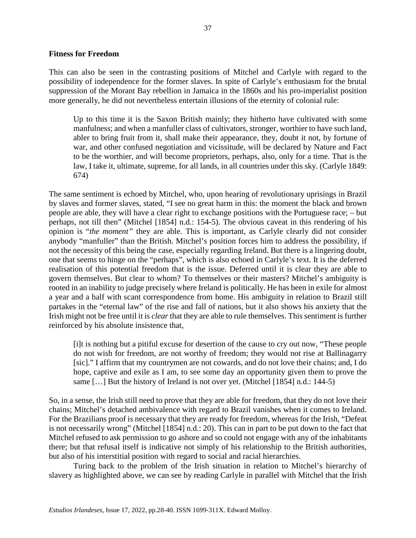# **Fitness for Freedom**

This can also be seen in the contrasting positions of Mitchel and Carlyle with regard to the possibility of independence for the former slaves. In spite of Carlyle's enthusiasm for the brutal suppression of the Morant Bay rebellion in Jamaica in the 1860s and his pro-imperialist position more generally, he did not nevertheless entertain illusions of the eternity of colonial rule:

Up to this time it is the Saxon British mainly; they hitherto have cultivated with some manfulness; and when a manfuller class of cultivators, stronger, worthier to have such land, abler to bring fruit from it, shall make their appearance, they, doubt it not, by fortune of war, and other confused negotiation and vicissitude, will be declared by Nature and Fact to be the worthier, and will become proprietors, perhaps, also, only for a time. That is the law, I take it, ultimate, supreme, for all lands, in all countries under this sky. (Carlyle 1849: 674)

The same sentiment is echoed by Mitchel, who, upon hearing of revolutionary uprisings in Brazil by slaves and former slaves, stated, "I see no great harm in this: the moment the black and brown people are able, they will have a clear right to exchange positions with the Portuguese race; – but perhaps, not till then" (Mitchel [1854] n.d.: 154-5). The obvious caveat in this rendering of his opinion is "*the moment"* they are able. This is important, as Carlyle clearly did not consider anybody "manfuller" than the British. Mitchel's position forces him to address the possibility, if not the necessity of this being the case, especially regarding Ireland. But there is a lingering doubt, one that seems to hinge on the "perhaps", which is also echoed in Carlyle's text. It is the deferred realisation of this potential freedom that is the issue. Deferred until it is clear they are able to govern themselves. But clear to whom? To themselves or their masters? Mitchel's ambiguity is rooted in an inability to judge precisely where Ireland is politically. He has been in exile for almost a year and a half with scant correspondence from home. His ambiguity in relation to Brazil still partakes in the "eternal law" of the rise and fall of nations, but it also shows his anxiety that the Irish might not be free until it is *clear* that they are able to rule themselves. This sentiment is further reinforced by his absolute insistence that,

[i]t is nothing but a pitiful excuse for desertion of the cause to cry out now, "These people do not wish for freedom, are not worthy of freedom; they would not rise at Ballinagarry [sic]." I affirm that my countrymen are not cowards, and do not love their chains; and, I do hope, captive and exile as I am, to see some day an opportunity given them to prove the same [...] But the history of Ireland is not over yet. (Mitchel [1854] n.d.: 144-5)

So, in a sense, the Irish still need to prove that they are able for freedom, that they do not love their chains; Mitchel's detached ambivalence with regard to Brazil vanishes when it comes to Ireland. For the Brazilians proof is necessary that they are ready for freedom, whereas for the Irish, "Defeat is not necessarily wrong" (Mitchel [1854] n.d.: 20). This can in part to be put down to the fact that Mitchel refused to ask permission to go ashore and so could not engage with any of the inhabitants there; but that refusal itself is indicative not simply of his relationship to the British authorities, but also of his interstitial position with regard to social and racial hierarchies.

Turing back to the problem of the Irish situation in relation to Mitchel's hierarchy of slavery as highlighted above, we can see by reading Carlyle in parallel with Mitchel that the Irish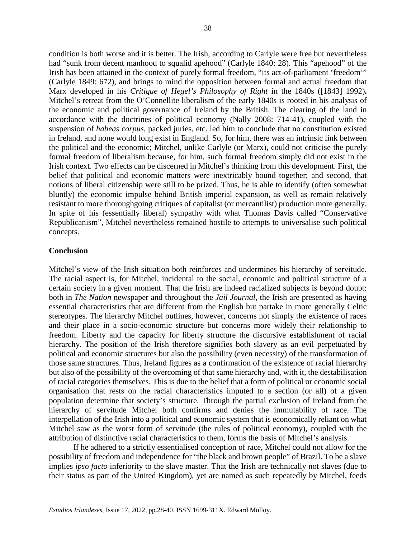condition is both worse and it is better. The Irish, according to Carlyle were free but nevertheless had "sunk from decent manhood to squalid apehood" (Carlyle 1840: 28). This "apehood" of the Irish has been attained in the context of purely formal freedom, "its act-of-parliament 'freedom'" (Carlyle 1849: 672), and brings to mind the opposition between formal and actual freedom that Marx developed in his *Critique of Hegel's Philosophy of Right* in the 1840s ([1843] 1992)**.**  Mitchel's retreat from the O'Connellite liberalism of the early 1840s is rooted in his analysis of the economic and political governance of Ireland by the British. The clearing of the land in accordance with the doctrines of political economy (Nally 2008: 714-41), coupled with the suspension of *habeas corpus*, packed juries, etc. led him to conclude that no constitution existed in Ireland, and none would long exist in England. So, for him, there was an intrinsic link between the political and the economic; Mitchel, unlike Carlyle (or Marx), could not criticise the purely formal freedom of liberalism because, for him, such formal freedom simply did not exist in the Irish context. Two effects can be discerned in Mitchel's thinking from this development. First, the belief that political and economic matters were inextricably bound together; and second, that notions of liberal citizenship were still to be prized. Thus, he is able to identify (often somewhat bluntly) the economic impulse behind British imperial expansion, as well as remain relatively resistant to more thoroughgoing critiques of capitalist (or mercantilist) production more generally. In spite of his (essentially liberal) sympathy with what Thomas Davis called "Conservative Republicanism", Mitchel nevertheless remained hostile to attempts to universalise such political concepts.

# **Conclusion**

Mitchel's view of the Irish situation both reinforces and undermines his hierarchy of servitude. The racial aspect is, for Mitchel, incidental to the social, economic and political structure of a certain society in a given moment. That the Irish are indeed racialized subjects is beyond doubt: both in *The Nation* newspaper and throughout the *Jail Journal*, the Irish are presented as having essential characteristics that are different from the English but partake in more generally Celtic stereotypes. The hierarchy Mitchel outlines, however, concerns not simply the existence of races and their place in a socio-economic structure but concerns more widely their relationship to freedom. Liberty and the capacity for liberty structure the discursive establishment of racial hierarchy. The position of the Irish therefore signifies both slavery as an evil perpetuated by political and economic structures but also the possibility (even necessity) of the transformation of those same structures. Thus, Ireland figures as a confirmation of the existence of racial hierarchy but also of the possibility of the overcoming of that same hierarchy and, with it, the destabilisation of racial categories themselves. This is due to the belief that a form of political or economic social organisation that rests on the racial characteristics imputed to a section (or all) of a given population determine that society's structure. Through the partial exclusion of Ireland from the hierarchy of servitude Mitchel both confirms and denies the immutability of race. The interpellation of the Irish into a political and economic system that is economically reliant on what Mitchel saw as the worst form of servitude (the rules of political economy), coupled with the attribution of distinctive racial characteristics to them, forms the basis of Mitchel's analysis.

If he adhered to a strictly essentialised conception of race, Mitchel could not allow for the possibility of freedom and independence for "the black and brown people" of Brazil. To be a slave implies *ipso facto* inferiority to the slave master. That the Irish are technically not slaves (due to their status as part of the United Kingdom), yet are named as such repeatedly by Mitchel, feeds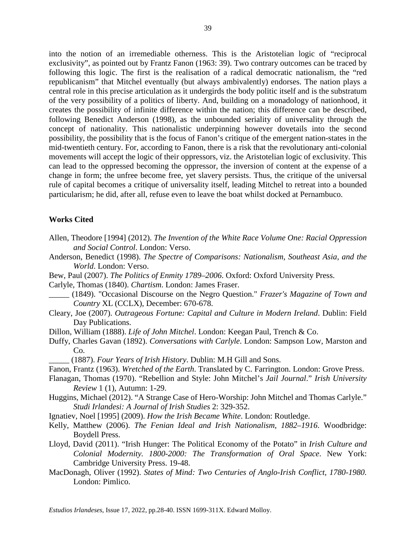into the notion of an irremediable otherness. This is the Aristotelian logic of "reciprocal exclusivity", as pointed out by Frantz Fanon (1963: 39). Two contrary outcomes can be traced by following this logic. The first is the realisation of a radical democratic nationalism, the "red republicanism" that Mitchel eventually (but always ambivalently) endorses. The nation plays a central role in this precise articulation as it undergirds the body politic itself and is the substratum of the very possibility of a politics of liberty. And, building on a monadology of nationhood, it creates the possibility of infinite difference within the nation; this difference can be described, following Benedict Anderson (1998), as the unbounded seriality of universality through the concept of nationality. This nationalistic underpinning however dovetails into the second possibility, the possibility that is the focus of Fanon's critique of the emergent nation-states in the mid-twentieth century. For, according to Fanon, there is a risk that the revolutionary anti-colonial movements will accept the logic of their oppressors, viz. the Aristotelian logic of exclusivity. This can lead to the oppressed becoming the oppressor, the inversion of content at the expense of a change in form; the unfree become free, yet slavery persists. Thus, the critique of the universal rule of capital becomes a critique of universality itself, leading Mitchel to retreat into a bounded particularism; he did, after all, refuse even to leave the boat whilst docked at Pernambuco.

# **Works Cited**

- Allen, Theodore [1994] (2012). *The Invention of the White Race Volume One: Racial Oppression and Social Control*. London: Verso.
- Anderson, Benedict (1998). *The Spectre of Comparisons: Nationalism, Southeast Asia, and the World*. London: Verso.
- Bew, Paul (2007). *The Politics of Enmity 1789–2006*. Oxford: Oxford University Press.
- Carlyle, Thomas (1840). *Chartism*. London: James Fraser.
- \_\_\_\_\_ (1849). "Occasional Discourse on the Negro Question." *Frazer's Magazine of Town and Country* XL (CCLX), December: 670-678.
- Cleary, Joe (2007). *Outrageous Fortune: Capital and Culture in Modern Ireland*. Dublin: Field Day Publications.
- Dillon, William (1888). *Life of John Mitchel*. London: Keegan Paul, Trench & Co.
- Duffy, Charles Gavan (1892). *Conversations with Carlyle*. London: Sampson Low, Marston and Co.
	- \_\_\_\_\_ (1887). *Four Years of Irish History*. Dublin: M.H Gill and Sons.
- Fanon, Frantz (1963). *Wretched of the Earth*. Translated by C. Farrington. London: Grove Press.
- Flanagan, Thomas (1970). "Rebellion and Style: John Mitchel's *Jail Journal*." *Irish University Review* 1 (1), Autumn: 1-29.
- Huggins, Michael (2012). "A Strange Case of Hero-Worship: John Mitchel and Thomas Carlyle." *Studi Irlandesi: A Journal of Irish Studies* 2: 329-352.
- Ignatiev, Noel [1995] (2009). *How the Irish Became White*. London: Routledge.
- Kelly, Matthew (2006). *The Fenian Ideal and Irish Nationalism, 1882–1916*. Woodbridge: Boydell Press.
- Lloyd, David (2011). "Irish Hunger: The Political Economy of the Potato" in *Irish Culture and Colonial Modernity. 1800-2000: The Transformation of Oral Space*. New York: Cambridge University Press. 19-48.
- MacDonagh, Oliver (1992). *States of Mind: Two Centuries of Anglo-Irish Conflict, 1780-1980.*  London: Pimlico.